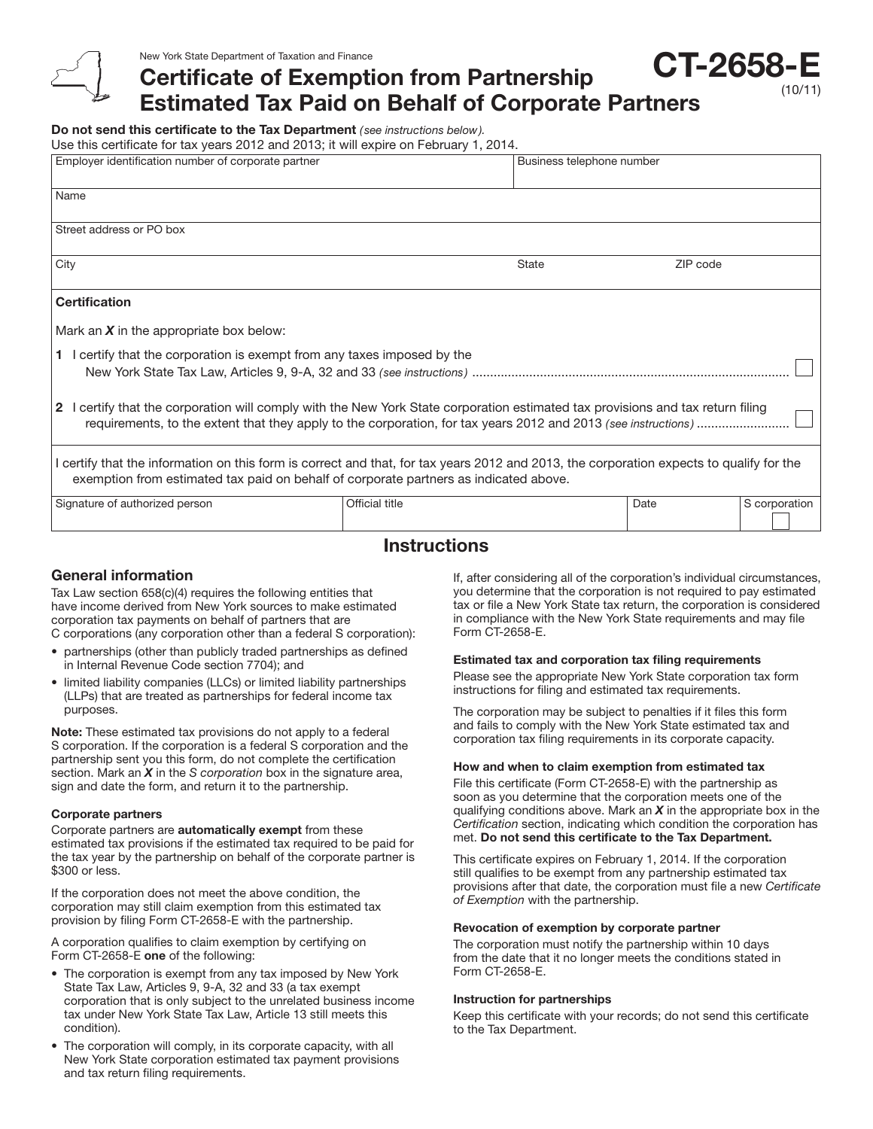Certificate of Exemption from Partnership Estimated Tax Paid on Behalf of Corporate Partners **CT-2658** 

Do not send this certificate to the Tax Department *( see instructions below).*

Use this certificate for tax years 2012 and 2013; it will expire on February 1, 2014.

| Employer identification number of corporate partner                                                                                                                                                                               |                | Business telephone number |          |               |
|-----------------------------------------------------------------------------------------------------------------------------------------------------------------------------------------------------------------------------------|----------------|---------------------------|----------|---------------|
|                                                                                                                                                                                                                                   |                |                           |          |               |
| Name                                                                                                                                                                                                                              |                |                           |          |               |
| Street address or PO box                                                                                                                                                                                                          |                |                           |          |               |
| City                                                                                                                                                                                                                              |                | State                     | ZIP code |               |
| <b>Certification</b>                                                                                                                                                                                                              |                |                           |          |               |
| Mark an $X$ in the appropriate box below:                                                                                                                                                                                         |                |                           |          |               |
| 1 l certify that the corporation is exempt from any taxes imposed by the                                                                                                                                                          |                |                           |          |               |
| 2 I certify that the corporation will comply with the New York State corporation estimated tax provisions and tax return filing                                                                                                   |                |                           |          |               |
| I certify that the information on this form is correct and that, for tax years 2012 and 2013, the corporation expects to qualify for the<br>exemption from estimated tax paid on behalf of corporate partners as indicated above. |                |                           |          |               |
| Signature of authorized person                                                                                                                                                                                                    | Official title |                           | Date     | S corporation |

## Instructions

### General information

Tax Law section 658(c)(4) requires the following entities that have income derived from New York sources to make estimated corporation tax payments on behalf of partners that are C corporations (any corporation other than a federal S corporation):

- partnerships (other than publicly traded partnerships as defined in Internal Revenue Code section 7704); and
- limited liability companies (LLCs) or limited liability partnerships (LLPs) that are treated as partnerships for federal income tax purposes.

Note: These estimated tax provisions do not apply to a federal S corporation. If the corporation is a federal S corporation and the partnership sent you this form, do not complete the certification section. Mark an *X* in the *S corporation* box in the signature area, sign and date the form, and return it to the partnership.

#### Corporate partners

Corporate partners are **automatically exempt** from these estimated tax provisions if the estimated tax required to be paid for the tax year by the partnership on behalf of the corporate partner is \$300 or less.

If the corporation does not meet the above condition, the corporation may still claim exemption from this estimated tax provision by filing Form CT-2658-E with the partnership.

A corporation qualifies to claim exemption by certifying on Form CT-2658-E one of the following:

- The corporation is exempt from any tax imposed by New York State Tax Law, Articles 9, 9-A, 32 and 33 (a tax exempt corporation that is only subject to the unrelated business income tax under New York State Tax Law, Article 13 still meets this condition).
- The corporation will comply, in its corporate capacity, with all New York State corporation estimated tax payment provisions and tax return filing requirements.

If, after considering all of the corporation's individual circumstances, you determine that the corporation is not required to pay estimated tax or file a New York State tax return, the corporation is considered in compliance with the New York State requirements and may file Form CT-2658-E.

(10/11)

#### Estimated tax and corporation tax filing requirements

Please see the appropriate New York State corporation tax form instructions for filing and estimated tax requirements.

The corporation may be subject to penalties if it files this form and fails to comply with the New York State estimated tax and corporation tax filing requirements in its corporate capacity.

#### How and when to claim exemption from estimated tax

File this certificate (Form CT-2658-E) with the partnership as soon as you determine that the corporation meets one of the qualifying conditions above. Mark an *X* in the appropriate box in the *Certification* section, indicating which condition the corporation has met. Do not send this certificate to the Tax Department.

This certificate expires on February 1, 2014. If the corporation still qualifies to be exempt from any partnership estimated tax provisions after that date, the corporation must file a new *Certificate of Exemption* with the partnership.

#### Revocation of exemption by corporate partner

The corporation must notify the partnership within 10 days from the date that it no longer meets the conditions stated in Form CT-2658-E.

#### Instruction for partnerships

Keep this certificate with your records; do not send this certificate to the Tax Department.